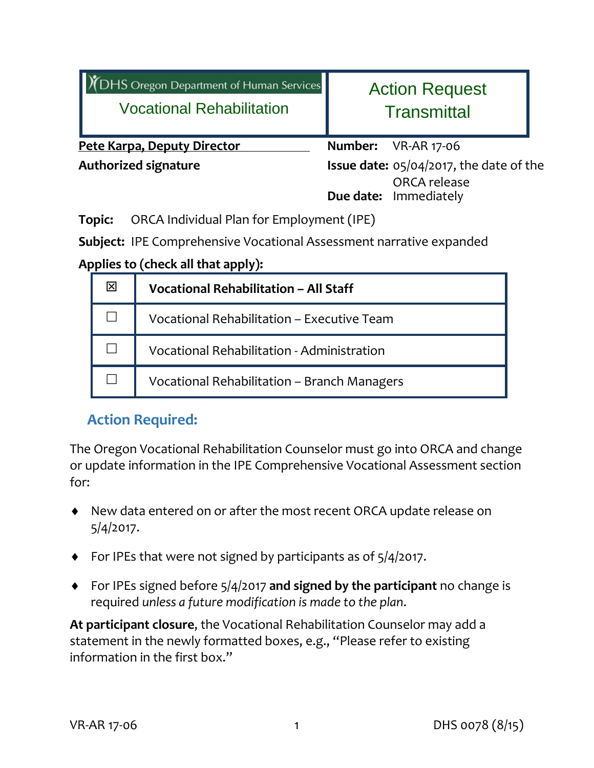| DHS Oregon Department of Human Services<br><b>Vocational Rehabilitation</b> | <b>Action Request</b><br><b>Transmittal</b> |                                                   |
|-----------------------------------------------------------------------------|---------------------------------------------|---------------------------------------------------|
| <b>Pete Karpa, Deputy Director</b>                                          | Number:                                     | <b>VR-AR 17-06</b>                                |
| <b>Authorized signature</b>                                                 |                                             | <b>Issue date:</b> $05/04/2017$ , the date of the |
|                                                                             |                                             | ORCA release<br><b>Due date:</b> Immediately      |

**Topic:** ORCA Individual Plan for Employment (IPE)

**Subject:** IPE Comprehensive Vocational Assessment narrative expanded

#### **Applies to (check all that apply):**

| $\boxtimes$ | <b>Vocational Rehabilitation - All Staff</b> |  |  |
|-------------|----------------------------------------------|--|--|
|             | Vocational Rehabilitation - Executive Team   |  |  |
|             | Vocational Rehabilitation - Administration   |  |  |
|             | Vocational Rehabilitation - Branch Managers  |  |  |

## **Action Required:**

The Oregon Vocational Rehabilitation Counselor must go into ORCA and change or update information in the IPE Comprehensive Vocational Assessment section for:

- ♦ New data entered on or after the most recent ORCA update release on 5/4/2017.
- ♦ For IPEs that were not signed by participants as of 5/4/2017.
- ♦ For IPEs signed before 5/4/2017 **and signed by the participant** no change is required *unless a future modification is made to the plan*.

**At participant closure**, the Vocational Rehabilitation Counselor may add a statement in the newly formatted boxes, e.g., "Please refer to existing information in the first box."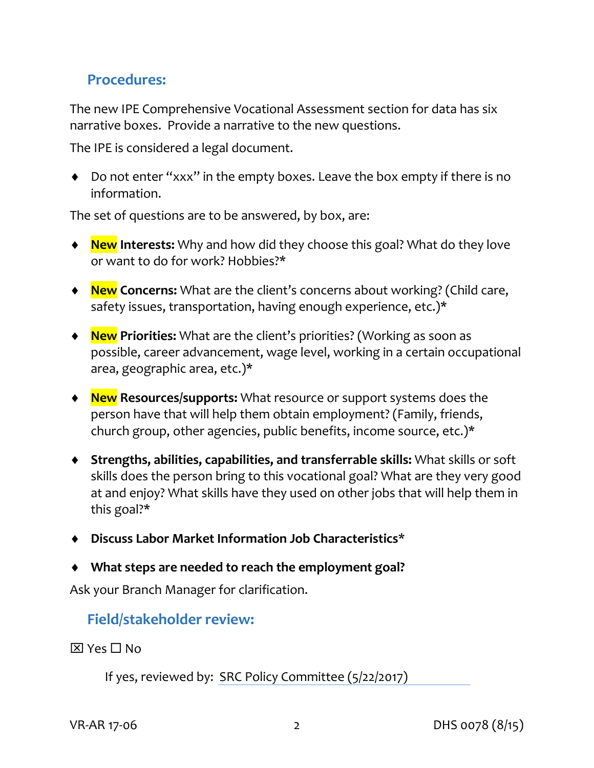### **Procedures:**

The new IPE Comprehensive Vocational Assessment section for data has six narrative boxes. Provide a narrative to the new questions.

The IPE is considered a legal document.

♦ Do not enter "xxx" in the empty boxes. Leave the box empty if there is no information.

The set of questions are to be answered, by box, are:

- ♦ **New Interests:** Why and how did they choose this goal? What do they love or want to do for work? Hobbies?\*
- ♦ **New Concerns:** What are the client's concerns about working? (Child care, safety issues, transportation, having enough experience, etc.)\*
- ♦ **New Priorities:** What are the client's priorities? (Working as soon as possible, career advancement, wage level, working in a certain occupational area, geographic area, etc.)\*
- ♦ **New Resources/supports:** What resource or support systems does the person have that will help them obtain employment? (Family, friends, church group, other agencies, public benefits, income source, etc.)\*
- ♦ **Strengths, abilities, capabilities, and transferrable skills:** What skills or soft skills does the person bring to this vocational goal? What are they very good at and enjoy? What skills have they used on other jobs that will help them in this goal?\*
- ♦ **Discuss Labor Market Information Job Characteristics**\*
- ♦ **What steps are needed to reach the employment goal?**

Ask your Branch Manager for clarification.

## **Field/stakeholder review:**

 $\boxtimes$  Yes  $\Box$  No

If yes, reviewed by: SRC Policy Committee (5/22/2017)